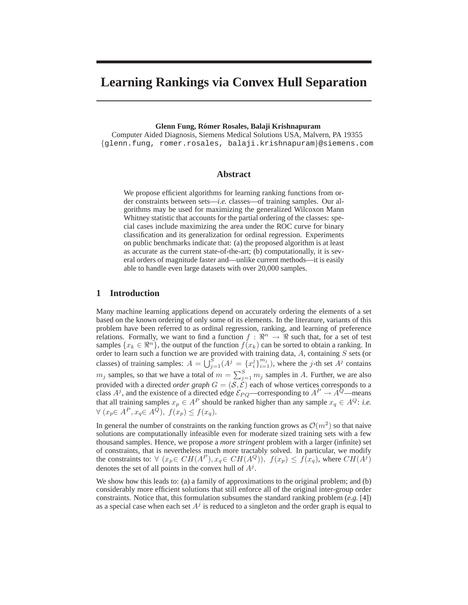# **Learning Rankings via Convex Hull Separation**

## **Glenn Fung, Ro´mer Rosales, Balaji Krishnapuram**

Computer Aided Diagnosis, Siemens Medical Solutions USA, Malvern, PA 19355 {glenn.fung, romer.rosales, balaji.krishnapuram}@siemens.com

## **Abstract**

We propose efficient algorithms for learning ranking functions from order constraints between sets—*i.e.* classes—of training samples. Our algorithms may be used for maximizing the generalized Wilcoxon Mann Whitney statistic that accounts for the partial ordering of the classes: special cases include maximizing the area under the ROC curve for binary classification and its generalization for ordinal regression. Experiments on public benchmarks indicate that: (a) the proposed algorithm is at least as accurate as the current state-of-the-art; (b) computationally, it is several orders of magnitude faster and—unlike current methods—it is easily able to handle even large datasets with over 20,000 samples.

## **1 Introduction**

Many machine learning applications depend on accurately ordering the elements of a set based on the known ordering of only some of its elements. In the literature, variants of this problem have been referred to as ordinal regression, ranking, and learning of preference relations. Formally, we want to find a function  $f : \mathbb{R}^n \to \mathbb{R}$  such that, for a set of test samples  $\{x_k \in \mathbb{R}^n\}$ , the output of the function  $f(x_k)$  can be sorted to obtain a ranking. In order to learn such a function we are provided with training data,  $A$ , containing  $S$  sets (or classes) of training samples:  $A = \bigcup_{j=1}^{S} (A^j = \{x_i^j\}_{i=1}^{m_j})$ , where the j-th set  $A^j$  contains  $m_j$  samples, so that we have a total of  $m = \sum_{j=1}^{S} m_j$  samples in A. Further, we are also provided with a directed *order graph*  $G = (\mathcal{S}, \mathcal{E})$  each of whose vertices corresponds to a class  $A^j$ , and the existence of a directed edge  $\mathcal{E}_{PQ}$ —corresponding to  $A^P \to A^Q$ —means that all training samples  $x_p \in A^P$  should be ranked higher than any sample  $x_q \in A^Q$ : *i.e.*  $\forall$   $(x_p \in A^P, x_q \in A^Q), f(x_p) \le f(x_q).$ 

In general the number of constraints on the ranking function grows as  $\mathcal{O}(m^2)$  so that naive solutions are computationally infeasible even for moderate sized training sets with a few thousand samples. Hence, we propose a *more stringent* problem with a larger (infinite) set of constraints, that is nevertheless much more tractably solved. In particular, we modify the constraints to:  $\forall (x_p \in CH(A^P), x_q \in CH(A^Q)), f(x_p) \le f(x_q)$ , where  $CH(A^j)$ denotes the set of all points in the convex hull of  $A<sup>j</sup>$ .

We show how this leads to: (a) a family of approximations to the original problem; and (b) considerably more efficient solutions that still enforce all of the original inter-group order constraints. Notice that, this formulation subsumes the standard ranking problem (*e.g.* [4]) as a special case when each set  $A<sup>j</sup>$  is reduced to a singleton and the order graph is equal to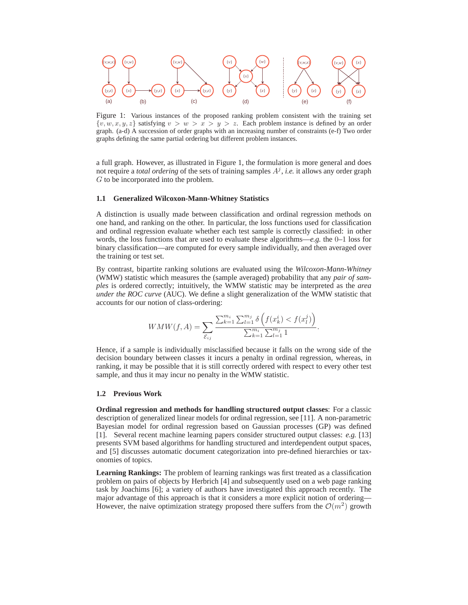

Figure 1: Various instances of the proposed ranking problem consistent with the training set  $\{v, w, x, y, z\}$  satisfying  $v > w > x > y > z$ . Each problem instance is defined by an order graph. (a-d) A succession of order graphs with an increasing number of constraints (e-f) Two order graphs defining the same partial ordering but different problem instances.

a full graph. However, as illustrated in Figure 1, the formulation is more general and does not require a *total ordering* of the sets of training samples  $A<sup>j</sup>$ , *i.e.* it allows any order graph G to be incorporated into the problem.

#### **1.1 Generalized Wilcoxon-Mann-Whitney Statistics**

A distinction is usually made between classification and ordinal regression methods on one hand, and ranking on the other. In particular, the loss functions used for classification and ordinal regression evaluate whether each test sample is correctly classified: in other words, the loss functions that are used to evaluate these algorithms—*e.g.* the 0–1 loss for binary classification—are computed for every sample individually, and then averaged over the training or test set.

By contrast, bipartite ranking solutions are evaluated using the *Wilcoxon-Mann-Whitney* (WMW) statistic which measures the (sample averaged) probability that any *pair of samples* is ordered correctly; intuitively, the WMW statistic may be interpreted as the *area under the ROC curve* (AUC). We define a slight generalization of the WMW statistic that accounts for our notion of class-ordering:

$$
WMW(f, A) = \sum_{\mathcal{E}_{ij}} \frac{\sum_{k=1}^{m_i} \sum_{l=1}^{m_j} \delta\left(f(x_k^i) < f(x_l^j)\right)}{\sum_{k=1}^{m_i} \sum_{l=1}^{m_j} 1}.
$$

Hence, if a sample is individually misclassified because it falls on the wrong side of the decision boundary between classes it incurs a penalty in ordinal regression, whereas, in ranking, it may be possible that it is still correctly ordered with respect to every other test sample, and thus it may incur no penalty in the WMW statistic.

#### **1.2 Previous Work**

**Ordinal regression and methods for handling structured output classes**: For a classic description of generalized linear models for ordinal regression, see [11]. A non-parametric Bayesian model for ordinal regression based on Gaussian processes (GP) was defined [1]. Several recent machine learning papers consider structured output classes: *e.g.* [13] presents SVM based algorithms for handling structured and interdependent output spaces, and [5] discusses automatic document categorization into pre-defined hierarchies or taxonomies of topics.

**Learning Rankings:** The problem of learning rankings was first treated as a classification problem on pairs of objects by Herbrich [4] and subsequently used on a web page ranking task by Joachims [6]; a variety of authors have investigated this approach recently. The major advantage of this approach is that it considers a more explicit notion of ordering— However, the naive optimization strategy proposed there suffers from the  $\mathcal{O}(m^2)$  growth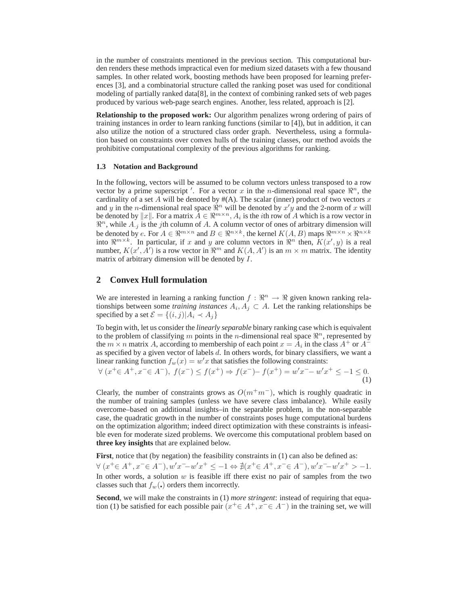in the number of constraints mentioned in the previous section. This computational burden renders these methods impractical even for medium sized datasets with a few thousand samples. In other related work, boosting methods have been proposed for learning preferences [3], and a combinatorial structure called the ranking poset was used for conditional modeling of partially ranked data[8], in the context of combining ranked sets of web pages produced by various web-page search engines. Another, less related, approach is [2].

**Relationship to the proposed work:** Our algorithm penalizes wrong ordering of pairs of training instances in order to learn ranking functions (similar to [4]), but in addition, it can also utilize the notion of a structured class order graph. Nevertheless, using a formulation based on constraints over convex hulls of the training classes, our method avoids the prohibitive computational complexity of the previous algorithms for ranking.

## **1.3 Notation and Background**

In the following, vectors will be assumed to be column vectors unless transposed to a row vector by a prime superscript '. For a vector x in the n-dimensional real space  $\mathbb{R}^n$ , the cardinality of a set A will be denoted by  $#(A)$ . The scalar (inner) product of two vectors x and y in the n-dimensional real space  $\mathbb{R}^n$  will be denoted by  $x'y$  and the 2-norm of x will be denoted by  $||x||$ . For a matrix  $\overline{A} \in \mathbb{R}^{m \times n}$ ,  $A_i$  is the *i*th row of  $A$  which is a row vector in  $\Re^n$ , while  $A_{.j}$  is the jth column of A. A column vector of ones of arbitrary dimension will be denoted by  $e.$  For  $A \in \Re^{m \times n}$  and  $B \in \Re^{n \times k}$ , the kernel  $K(A, B)$  maps  $\Re^{m \times n} \times \Re^{n \times k}$ into  $\Re^{m \times k}$ . In particular, if x and y are column vectors in  $\Re^n$  then,  $K(x', y)$  is a real number,  $K(x', \overline{A'})$  is a row vector in  $\mathbb{R}^m$  and  $K(A, A')$  is an  $m \times m$  matrix. The identity matrix of arbitrary dimension will be denoted by I.

## **2 Convex Hull formulation**

We are interested in learning a ranking function  $f : \mathbb{R}^n \to \mathbb{R}$  given known ranking relationships between some *training instances*  $A_i, A_j \subset A$ . Let the ranking relationships be specified by a set  $\mathcal{E} = \{(i, j) | A_i \prec A_j\}$ 

To begin with, let us consider the *linearly separable* binary ranking case which is equivalent to the problem of classifying m points in the n-dimensional real space  $\mathbb{R}^n$ , represented by the  $m \times n$  matrix A, according to membership of each point  $x = A_i$  in the class  $A^+$  or  $A^$ as specified by a given vector of labels  $d$ . In others words, for binary classifiers, we want a linear ranking function  $f_w(x) = w'x$  that satisfies the following constraints:

$$
\forall (x^+ \in A^+, x^- \in A^-), \ f(x^-) \le f(x^+) \Rightarrow f(x^-) - f(x^+) = w'x^- - w'x^+ \le -1 \le 0.
$$
\n(1)

Clearly, the number of constraints grows as  $O(m+m^-)$ , which is roughly quadratic in the number of training samples (unless we have severe class imbalance). While easily overcome–based on additional insights–in the separable problem, in the non-separable case, the quadratic growth in the number of constraints poses huge computational burdens on the optimization algorithm; indeed direct optimization with these constraints is infeasible even for moderate sized problems. We overcome this computational problem based on **three key insights** that are explained below.

First, notice that (by negation) the feasibility constraints in (1) can also be defined as:  $\forall (x^+\in A^+, x^-\in A^-), w'x^-\!-\!w'x^+\leq -1 \Leftrightarrow \nexists (x^+\in A^+, x^-\in A^-), w'x^-\!-\!w'x^+\gtq -1.$ In other words, a solution  $w$  is feasible iff there exist no pair of samples from the two classes such that  $f_w(\cdot)$  orders them incorrectly.

**Second**, we will make the constraints in (1) *more stringent*: instead of requiring that equation (1) be satisfied for each possible pair  $(x^+ \in A^+, x^- \in A^-)$  in the training set, we will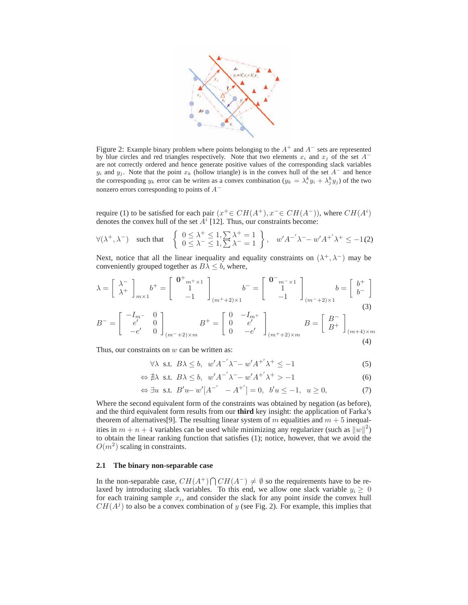

Figure 2: Example binary problem where points belonging to the  $A^+$  and  $A^-$  sets are represented by blue circles and red triangles respectively. Note that two elements  $x_i$  and  $x_j$  of the set  $A^$ are not correctly ordered and hence generate positive values of the corresponding slack variables  $y_i$  and  $y_j$ . Note that the point  $x_k$  (hollow triangle) is in the convex hull of the set  $A^-$  and hence the corresponding  $y_k$  error can be writen as a convex combination  $(y_k = \lambda_i^k y_i + \lambda_j^k y_j)$  of the two nonzero errors corresponding to points of  $A^-$ 

require (1) to be satisfied for each pair  $(x^+ \in CH(A^+), x^- \in CH(A^-))$ , where  $CH(A^i)$ denotes the convex hull of the set  $A^i$  [12]. Thus, our constraints become:

$$
\forall (\lambda^+, \lambda^-) \quad \text{such that} \quad \left\{ \begin{array}{l} 0 \le \lambda^+ \le 1, \sum \lambda^+ = 1 \\ 0 \le \lambda^- \le 1, \sum \lambda^- = 1 \end{array} \right\}, \quad w' A^{-'} \lambda^- - w' A^{+'} \lambda^+ \le -1 \tag{2}
$$

Next, notice that all the linear inequality and equality constraints on  $(\lambda^+, \lambda^-)$  may be conveniently grouped together as  $B\lambda \leq b$ , where,

$$
\lambda = \begin{bmatrix} \lambda^{-} \\ \lambda^{+} \end{bmatrix}_{m \times 1} b^{+} = \begin{bmatrix} 0^{+}{}_{m^{+} \times 1} \\ 1 \\ -1 \end{bmatrix}_{(m^{+}+2) \times 1} b^{-} = \begin{bmatrix} 0^{-}{}_{m^{-} \times 1} \\ 1 \\ -1 \end{bmatrix}_{(m^{-}+2) \times 1} b = \begin{bmatrix} b^{+} \\ b^{-} \end{bmatrix}
$$
\n
$$
B^{-} = \begin{bmatrix} -I_{m^{-}} & 0 \\ e^{'} & 0 \\ -e^{'} & 0 \end{bmatrix}_{(m^{-}+2) \times m} B^{+} = \begin{bmatrix} 0 & -I_{m^{+}} \\ 0 & e^{'} \\ 0 & -e^{'} \end{bmatrix}_{(m^{+}+2) \times m} B = \begin{bmatrix} B^{-} \\ B^{+} \end{bmatrix}_{(m+4) \times m} (3)
$$
\n(4)

Thus, our constraints on  $w$  can be written as:

$$
\forall \lambda \text{ s.t. } B\lambda \le b, \ w'A^{-1}\lambda^{-1} - w'A^{+1}\lambda^{+} \le -1 \tag{5}
$$

$$
\Leftrightarrow \nexists \lambda \text{ s.t. } B\lambda \le b, \ w' A^{-1} \lambda^{-1} - w' A^{+1} \lambda^{+} > -1 \tag{6}
$$

$$
\Leftrightarrow \exists u \text{ s.t. } B'u - w'[A^{-'} - A^{+'}] = 0, \ b'u \le -1, \ u \ge 0,
$$
 (7)

Where the second equivalent form of the constraints was obtained by negation (as before), and the third equivalent form results from our **third** key insight: the application of Farka's theorem of alternatives [9]. The resulting linear system of m equalities and  $m + 5$  inequalities in  $m + n + 4$  variables can be used while minimizing any regularizer (such as  $||w||^2$ ) to obtain the linear ranking function that satisfies (1); notice, however, that we avoid the  $O(m^2)$  scaling in constraints.

## **2.1 The binary non-separable case**

In the non-separable case,  $CH(A^+) \cap CH(A^-) \neq \emptyset$  so the requirements have to be relaxed by introducing slack variables. To this end, we allow one slack variable  $y_i > 0$ for each training sample  $x_i$ , and consider the slack for any point *inside* the convex hull  $CH(A<sup>j</sup>)$  to also be a convex combination of y (see Fig. 2). For example, this implies that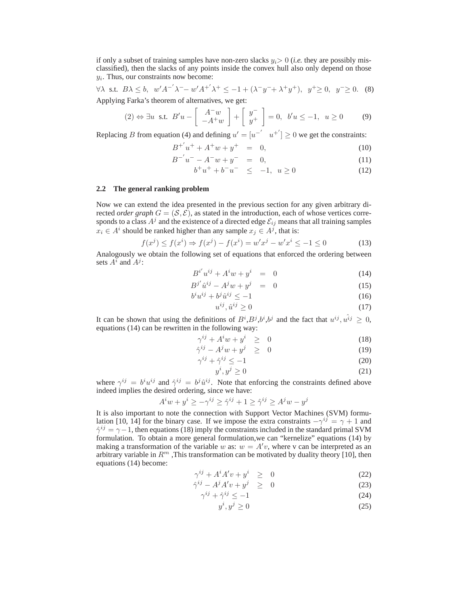if only a subset of training samples have non-zero slacks  $y_i>0$  (*i.e.* they are possibly misclassified), then the slacks of any points inside the convex hull also only depend on those  $y_i$ . Thus, our constraints now become:

$$
\forall \lambda
$$
 s.t.  $B\lambda \leq b$ ,  $w'A^{-1}\lambda^{-1} - w'A^{+1}\lambda^{+} \leq -1 + (\lambda^{-1}y^{-1} + \lambda^{+}y^{+}), y^{+} \geq 0, y^{-} \geq 0.$  (8) Applying Farka's theorem of alternatives, we get:

$$
(2) \Leftrightarrow \exists u \text{ s.t. } B'u - \left[ \begin{array}{c} A^-w \\ -A^+w \end{array} \right] + \left[ \begin{array}{c} y^- \\ y^+ \end{array} \right] = 0, \ b'u \le -1, \ u \ge 0 \tag{9}
$$

Replacing B from equation (4) and defining  $u' = [u^{-'} \ u^{+'}] \ge 0$  we get the constraints:

$$
B^{+'}u^{+} + A^{+}w + y^{+} = 0,
$$
\t(10)

$$
B^{-'}u^{-} - A^{-}w + y^{-} = 0,
$$
\n(11)

$$
b^{+}u^{+} + b^{-}u^{-} \leq -1, \ u \geq 0 \tag{12}
$$

### **2.2 The general ranking problem**

Now we can extend the idea presented in the previous section for any given arbitrary directed *order graph*  $G = (S, \mathcal{E})$ , as stated in the introduction, each of whose vertices corresponds to a class  $A^j$  and the existence of a directed edge  $\mathcal{E}_{ij}$  means that all training samples  $x_i \in A^i$  should be ranked higher than any sample  $x_j \in A^j$ , that is:

$$
f(x^{j}) \le f(x^{i}) \Rightarrow f(x^{j}) - f(x^{i}) = w'x^{j} - w'x^{i} \le -1 \le 0
$$
 (13)

Analogously we obtain the following set of equations that enforced the ordering between sets  $A^i$  and  $A^j$ :

$$
B^{i'}u^{ij} + A^iw + y^i = 0 \tag{14}
$$

$$
B^{j'}\hat{u}^{ij} - A^j w + y^j = 0 \tag{15}
$$

$$
b^i u^{ij} + b^j \hat{u}^{ij} \le -1 \tag{16}
$$

$$
u^{ij}, \hat{u}^{ij} \ge 0 \tag{17}
$$

It can be shown that using the definitions of  $B^i$ ,  $B^j$ ,  $b^i$ ,  $b^j$  and the fact that  $u^{ij}$ ,  $u^{i j} \geq 0$ , equations (14) can be rewritten in the following way:

$$
\gamma^{ij} + A^i w + y^i \geq 0 \tag{18}
$$

$$
\hat{\gamma}^{ij} - A^j w + y^j \geq 0 \tag{19}
$$

$$
\gamma^{ij} + \hat{\gamma}^{ij} \le -1 \tag{20}
$$

$$
y^i, y^j \ge 0 \tag{21}
$$

where  $\gamma^{ij} = b^i u^{ij}$  and  $\hat{\gamma}^{ij} = b^j \hat{u}^{ij}$ . Note that enforcing the constraints defined above indeed implies the desired ordering, since we have:

$$
A^iw + y^i \ge -\gamma^{ij} \ge \hat{\gamma}^{ij} + 1 \ge \hat{\gamma}^{ij} \ge A^j w - y^j
$$

It is also important to note the connection with Support Vector Machines (SVM) formulation [10, 14] for the binary case. If we impose the extra constraints  $-\gamma^{ij} = \gamma + 1$  and  $\hat{\gamma}^{ij} = \gamma - 1$ , then equations (18) imply the constraints included in the standard primal SVM formulation. To obtain a more general formulation,we can "kernelize" equations (14) by making a transformation of the variable w as:  $w = A'v$ , where v can be interpreted as an arbitrary variable in  $R^m$  , This transformation can be motivated by duality theory [10], then equations (14) become:

$$
\gamma^{ij} + A^i A' v + y^i \geq 0 \tag{22}
$$

$$
\hat{\gamma}^{ij} - A^j A' v + y^j \quad \geq \quad 0 \tag{23}
$$

$$
\gamma^{ij} + \hat{\gamma}^{ij} \le -1\tag{24}
$$

$$
y^i, y^j \ge 0 \tag{25}
$$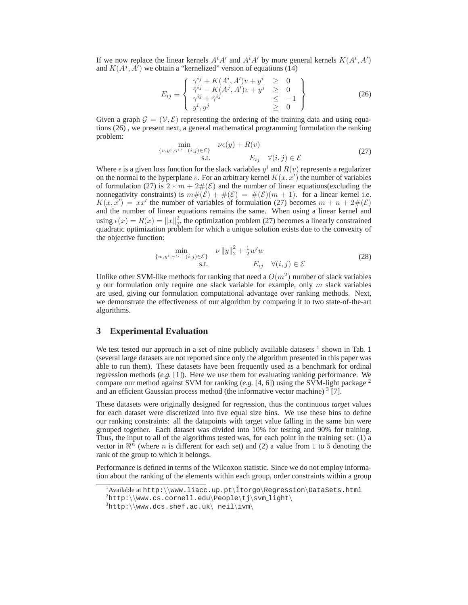If we now replace the linear kernels  $A^iA'$  and  $A^iA'$  by more general kernels  $K(A^i, A')$ and  $K(A^j, \hat{A}^j)$  we obtain a "kernelized" version of equations (14)

$$
E_{ij} \equiv \left\{ \begin{array}{lcl} \gamma^{ij} + K(A^i, A')v + y^i & \geq & 0\\ \hat{\gamma}^{ij} - K(A^j, A')v + y^j & \geq & 0\\ \gamma^{ij} + \hat{\gamma}^{ij} & \leq & -1\\ y^i, y^j & \geq & 0 \end{array} \right\} \tag{26}
$$

Given a graph  $\mathcal{G} = (\mathcal{V}, \mathcal{E})$  representing the ordering of the training data and using equations (26) , we present next, a general mathematical programming formulation the ranking problem:

$$
\min_{\{v, y^i, \gamma^{ij} \mid (i,j) \in \mathcal{E}\}} \nu\epsilon(y) + R(v)
$$
\n
$$
\text{s.t.} \quad E_{ij} \quad \forall (i,j) \in \mathcal{E}
$$
\n
$$
(27)
$$

Where  $\epsilon$  is a given loss function for the slack variables  $y^i$  and  $R(v)$  represents a regularizer on the normal to the hyperplane v. For an arbitrary kernel  $K(x, x')$  the number of variables of formulation (27) is  $2 * m + 2\#(\mathcal{E})$  and the number of linear equations(excluding the nonnegativity constraints) is  $m#(\mathcal{E}) + \#(\mathcal{E}) = \#(\mathcal{E})(m + 1)$ . for a linear kernel i.e.  $K(x, x') = xx'$  the number of variables of formulation (27) becomes  $m + n + 2\#(\mathcal{E})$ and the number of linear equations remains the same. When using a linear kernel and using  $\epsilon(x) = R(x) = ||x||_2^2$ , the optimization problem (27) becomes a linearly constrained quadratic optimization problem for which a unique solution exists due to the convexity of the objective function:

$$
\min_{\{w,y^i,\gamma^{ij} \mid (i,j)\in \mathcal{E}\}\atop{\text{s.t.}} \nu \|y\|_2^2 + \frac{1}{2}w'w
$$
\n
$$
E_{ij} \quad \forall (i,j) \in \mathcal{E}
$$
\n(28)

Unlike other SVM-like methods for ranking that need a  $O(m^2)$  number of slack variables y our formulation only require one slack variable for example, only  $m$  slack variables are used, giving our formulation computational advantage over ranking methods. Next, we demonstrate the effectiveness of our algorithm by comparing it to two state-of-the-art algorithms.

# **3 Experimental Evaluation**

We test tested our approach in a set of nine publicly available datasets  $1$  shown in Tab. 1 (several large datasets are not reported since only the algorithm presented in this paper was able to run them). These datasets have been frequently used as a benchmark for ordinal regression methods (*e.g.* [1]). Here we use them for evaluating ranking performance. We compare our method against SVM for ranking  $(e.g. [4, 6])$  using the SVM-light package <sup>2</sup> and an efficient Gaussian process method (the informative vector machine)  $\frac{3}{7}$ [7].

These datasets were originally designed for regression, thus the continuous *target* values for each dataset were discretized into five equal size bins. We use these bins to define our ranking constraints: all the datapoints with target value falling in the same bin were grouped together. Each dataset was divided into 10% for testing and 90% for training. Thus, the input to all of the algorithms tested was, for each point in the training set: (1) a vector in  $\mathbb{R}^n$  (where *n* is different for each set) and (2) a value from 1 to 5 denoting the rank of the group to which it belongs.

Performance is defined in terms of the Wilcoxon statistic. Since we do not employ information about the ranking of the elements within each group, order constraints within a group

 $1$ Available at http:\\www.liacc.up.pt\ $\text{Leqression}\Delta\text{Sets}.$ html

 $2$ http:\\www.cs.cornell.edu\People\tj\svm\_light\

 ${}^{3}$ http:\\www.dcs.shef.ac.uk\ neil\ivm\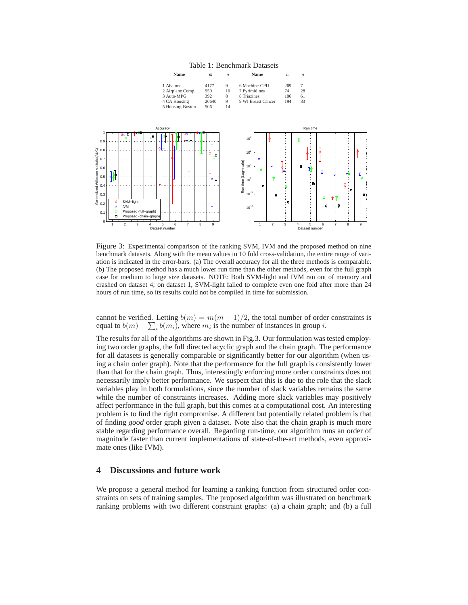Table 1: Benchmark Datasets



Figure 3: Experimental comparison of the ranking SVM, IVM and the proposed method on nine benchmark datasets. Along with the mean values in 10 fold cross-validation, the entire range of variation is indicated in the error-bars. (a) The overall accuracy for all the three methods is comparable. (b) The proposed method has a much lower run time than the other methods, even for the full graph case for medium to large size datasets. NOTE: Both SVM-light and IVM ran out of memory and crashed on dataset 4; on dataset 1, SVM-light failed to complete even one fold after more than 24 hours of run time, so its results could not be compiled in time for submission.

cannot be verified. Letting  $b(m) = m(m-1)/2$ , the total number of order constraints is equal to  $b(m) - \sum_i b(m_i)$ , where  $m_i$  is the number of instances in group *i*.

The results for all of the algorithms are shown in Fig.3. Our formulation was tested employing two order graphs, the full directed acyclic graph and the chain graph. The performance for all datasets is generally comparable or significantly better for our algorithm (when using a chain order graph). Note that the performance for the full graph is consistently lower than that for the chain graph. Thus, interestingly enforcing more order constraints does not necessarily imply better performance. We suspect that this is due to the role that the slack variables play in both formulations, since the number of slack variables remains the same while the number of constraints increases. Adding more slack variables may positively affect performance in the full graph, but this comes at a computational cost. An interesting problem is to find the right compromise. A different but potentially related problem is that of finding *good* order graph given a dataset. Note also that the chain graph is much more stable regarding performance overall. Regarding run-time, our algorithm runs an order of magnitude faster than current implementations of state-of-the-art methods, even approximate ones (like IVM).

## **4 Discussions and future work**

We propose a general method for learning a ranking function from structured order constraints on sets of training samples. The proposed algorithm was illustrated on benchmark ranking problems with two different constraint graphs: (a) a chain graph; and (b) a full